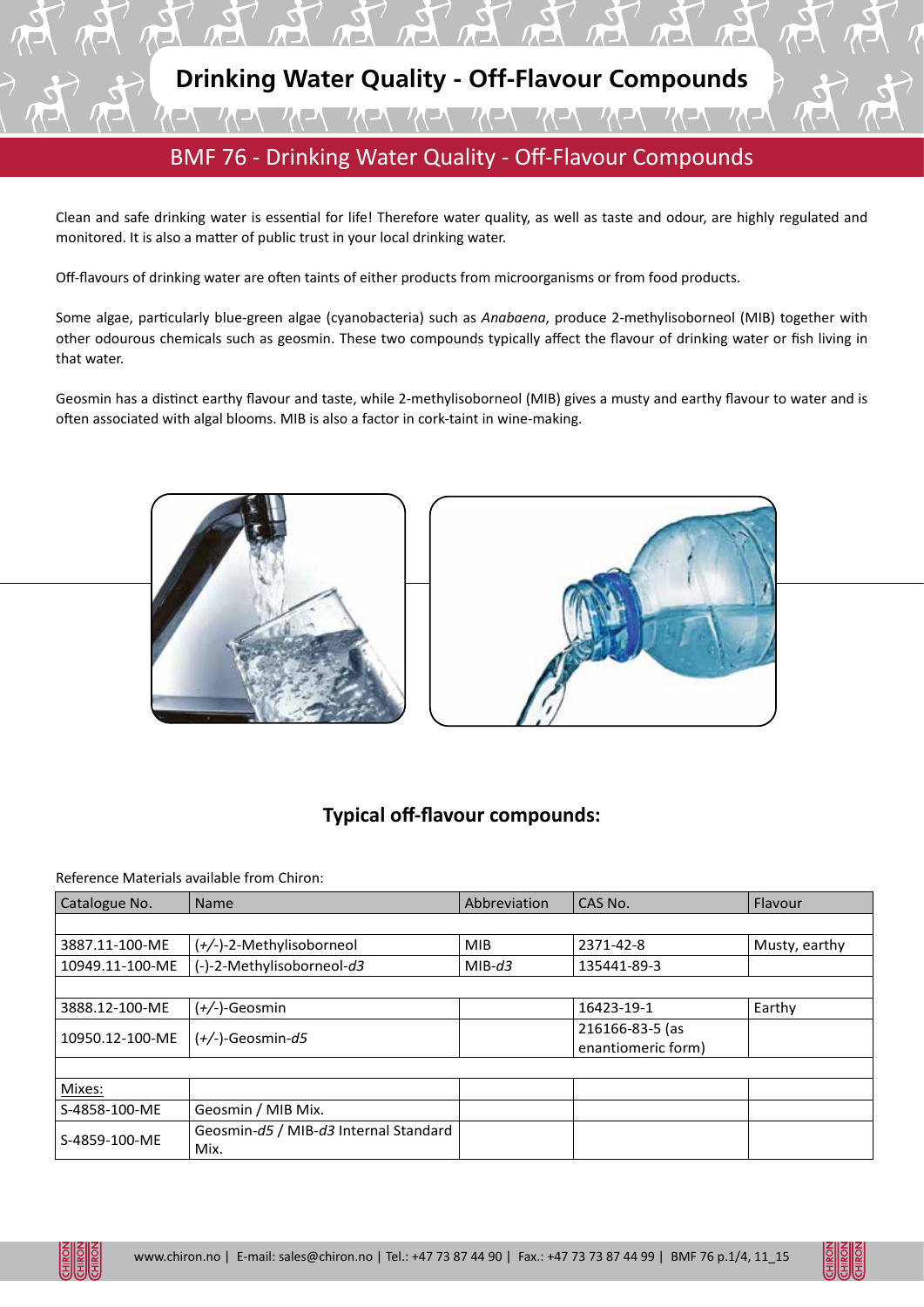

Clean and safe drinking water is essential for life! Therefore water quality, as well as taste and odour, are highly regulated and monitored. It is also a matter of public trust in your local drinking water.

Off-flavours of drinking water are often taints of either products from microorganisms or from food products.

Some algae, particularly blue-green algae (cyanobacteria) such as *Anabaena*, produce 2-methylisoborneol (MIB) together with other odourous chemicals such as geosmin. These two compounds typically affect the flavour of drinking water or fish living in that water.

Geosmin has a distinct earthy flavour and taste, while 2-methylisoborneol (MIB) gives a musty and earthy flavour to water and is often associated with algal blooms. MIB is also a factor in cork-taint in wine-making.





## **Typical off-flavour compounds:**

Reference Materials available from Chiron:

| Catalogue No.   | <b>Name</b>                                   | Abbreviation | CAS No.                               | Flavour       |
|-----------------|-----------------------------------------------|--------------|---------------------------------------|---------------|
|                 |                                               |              |                                       |               |
| 3887.11-100-ME  | (+/-)-2-Methylisoborneol                      | <b>MIB</b>   | 2371-42-8                             | Musty, earthy |
| 10949.11-100-ME | (-)-2-Methylisoborneol-d3                     | $MIB-d3$     | 135441-89-3                           |               |
|                 |                                               |              |                                       |               |
| 3888.12-100-ME  | $(+/-)$ -Geosmin                              |              | 16423-19-1                            | Earthy        |
| 10950.12-100-ME | $(+/-)$ -Geosmin-d5                           |              | 216166-83-5 (as<br>enantiomeric form) |               |
|                 |                                               |              |                                       |               |
| Mixes:          |                                               |              |                                       |               |
| S-4858-100-ME   | Geosmin / MIB Mix.                            |              |                                       |               |
| S-4859-100-ME   | Geosmin-d5 / MIB-d3 Internal Standard<br>Mix. |              |                                       |               |

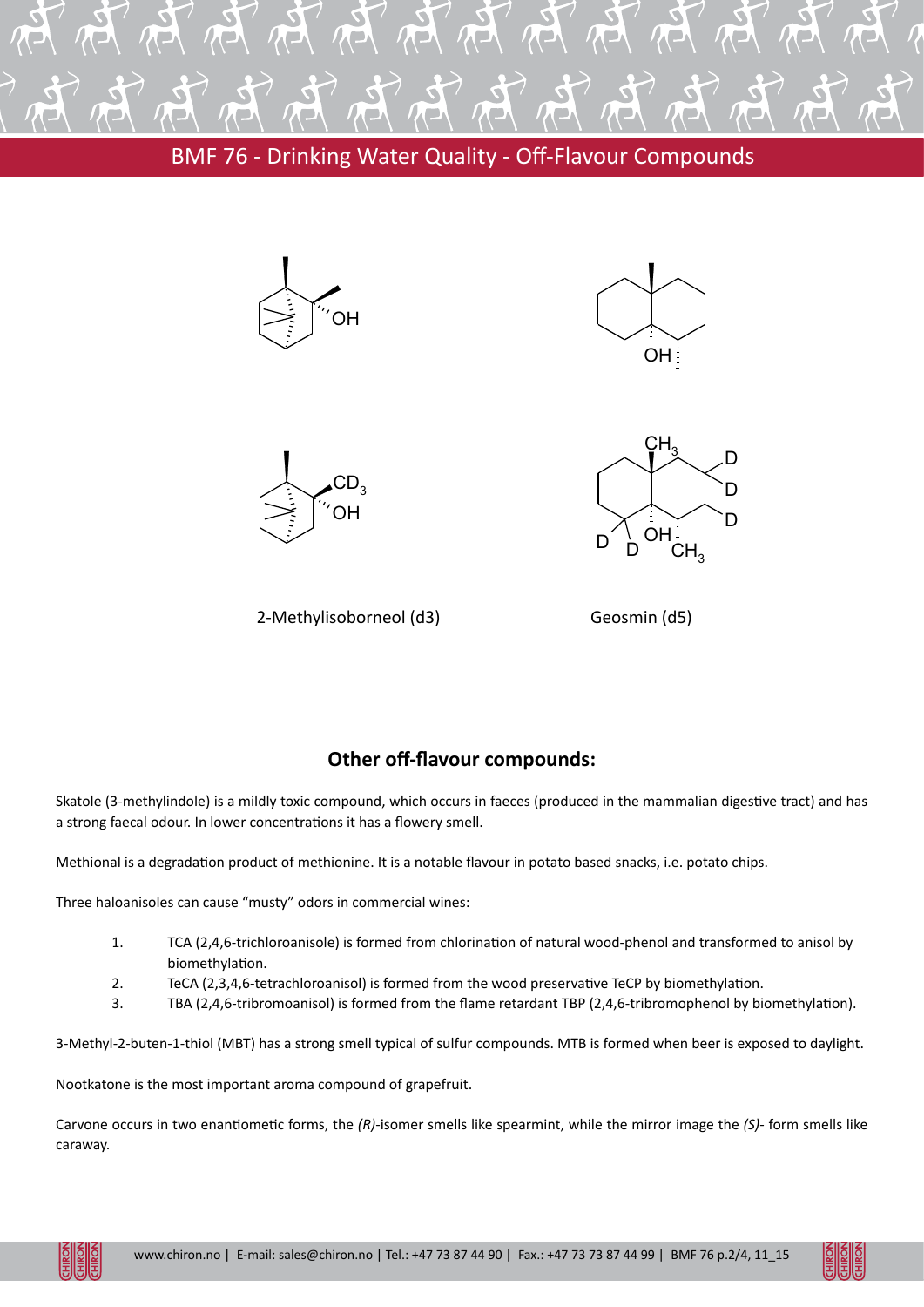

BMF 76 - Drinking Water Quality - Off-Flavour Compounds









2-Methylisoborneol (d3)

Geosmin (d5)

## **Other off-flavour compounds:**

Skatole (3-methylindole) is a mildly toxic compound, which occurs in faeces (produced in the mammalian digestive tract) and has a strong faecal odour. In lower concentrations it has a flowery smell.

Methional is a degradation product of methionine. It is a notable flavour in potato based snacks, i.e. potato chips.

Three haloanisoles can cause "musty" odors in commercial wines:

- 1. TCA (2,4,6-trichloroanisole) is formed from chlorination of natural wood-phenol and transformed to anisol by biomethylation.
- 2. TeCA (2,3,4,6-tetrachloroanisol) is formed from the wood preservative TeCP by biomethylation.
- 3. TBA (2,4,6-tribromoanisol) is formed from the flame retardant TBP (2,4,6-tribromophenol by biomethylation).

3-Methyl-2-buten-1-thiol (MBT) has a strong smell typical of sulfur compounds. MTB is formed when beer is exposed to daylight.

Nootkatone is the most important aroma compound of grapefruit.

Carvone occurs in two enantiometic forms, the *(R)*-isomer smells like spearmint, while the mirror image the *(S)*- form smells like caraway.

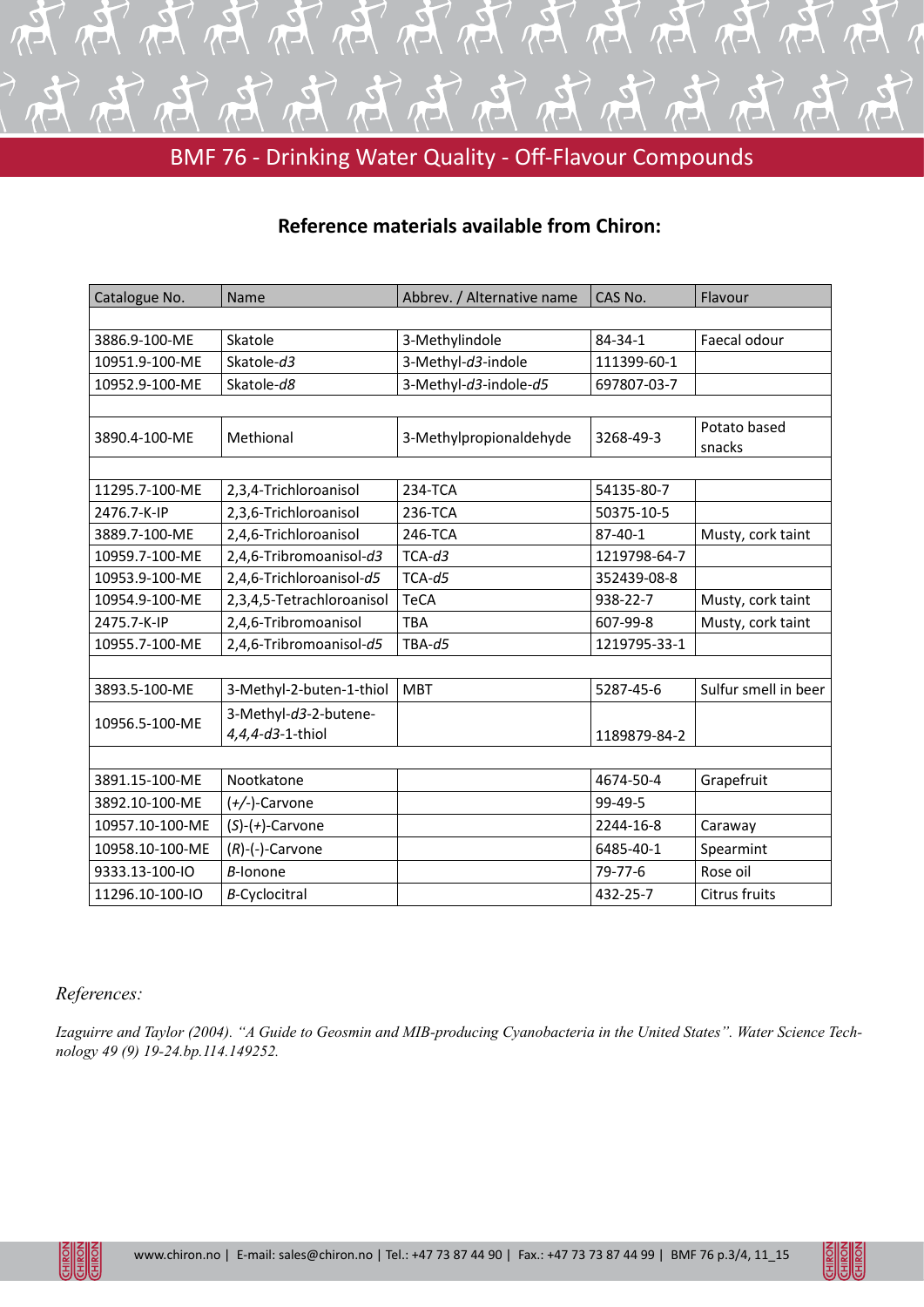

BMF 76 - Drinking Water Quality - Off-Flavour Compounds

## **Reference materials available from Chiron:**

| Catalogue No.   | Name                                      | Abbrev. / Alternative name | CAS No.       | Flavour                |  |  |  |
|-----------------|-------------------------------------------|----------------------------|---------------|------------------------|--|--|--|
|                 |                                           |                            |               |                        |  |  |  |
| 3886.9-100-ME   | Skatole                                   | 3-Methylindole             | 84-34-1       | Faecal odour           |  |  |  |
| 10951.9-100-ME  | Skatole-d3                                | 3-Methyl-d3-indole         | 111399-60-1   |                        |  |  |  |
| 10952.9-100-ME  | Skatole-d8                                | 3-Methyl-d3-indole-d5      | 697807-03-7   |                        |  |  |  |
|                 |                                           |                            |               |                        |  |  |  |
| 3890.4-100-ME   | Methional                                 | 3-Methylpropionaldehyde    | 3268-49-3     | Potato based<br>snacks |  |  |  |
|                 |                                           |                            |               |                        |  |  |  |
| 11295.7-100-ME  | 2,3,4-Trichloroanisol                     | 234-TCA                    | 54135-80-7    |                        |  |  |  |
| 2476.7-K-IP     | 2,3,6-Trichloroanisol                     | 236-TCA                    | 50375-10-5    |                        |  |  |  |
| 3889.7-100-ME   | 2,4,6-Trichloroanisol                     | 246-TCA                    | $87 - 40 - 1$ | Musty, cork taint      |  |  |  |
| 10959.7-100-ME  | 2,4,6-Tribromoanisol-d3                   | $TCA-d3$                   | 1219798-64-7  |                        |  |  |  |
| 10953.9-100-ME  | 2,4,6-Trichloroanisol-d5                  | $TCA-d5$                   | 352439-08-8   |                        |  |  |  |
| 10954.9-100-ME  | 2,3,4,5-Tetrachloroanisol                 | <b>TeCA</b>                | 938-22-7      | Musty, cork taint      |  |  |  |
| 2475.7-K-IP     | 2,4,6-Tribromoanisol                      | <b>TBA</b>                 | 607-99-8      | Musty, cork taint      |  |  |  |
| 10955.7-100-ME  | 2,4,6-Tribromoanisol-d5                   | $TBA-d5$                   | 1219795-33-1  |                        |  |  |  |
|                 |                                           |                            |               |                        |  |  |  |
| 3893.5-100-ME   | 3-Methyl-2-buten-1-thiol                  | <b>MBT</b>                 | 5287-45-6     | Sulfur smell in beer   |  |  |  |
| 10956.5-100-ME  | 3-Methyl-d3-2-butene-<br>4,4,4-d3-1-thiol |                            | 1189879-84-2  |                        |  |  |  |
|                 |                                           |                            |               |                        |  |  |  |
| 3891.15-100-ME  | Nootkatone                                |                            | 4674-50-4     | Grapefruit             |  |  |  |
| 3892.10-100-ME  | $(+/-)$ -Carvone                          |                            | 99-49-5       |                        |  |  |  |
| 10957.10-100-ME | $(S)-(+)$ -Carvone                        |                            | 2244-16-8     | Caraway                |  |  |  |
| 10958.10-100-ME | $(R)$ - $(-)$ -Carvone                    |                            | 6485-40-1     | Spearmint              |  |  |  |
| 9333.13-100-IO  | <b>B-lonone</b>                           |                            | $79 - 77 - 6$ | Rose oil               |  |  |  |
| 11296.10-100-IO | <b>B-Cyclocitral</b>                      |                            | 432-25-7      | Citrus fruits          |  |  |  |

## *References:*

*Izaguirre and Taylor (2004). "A Guide to Geosmin and MIB-producing Cyanobacteria in the United States". Water Science Technology 49 (9) 19-24.bp.114.149252.*